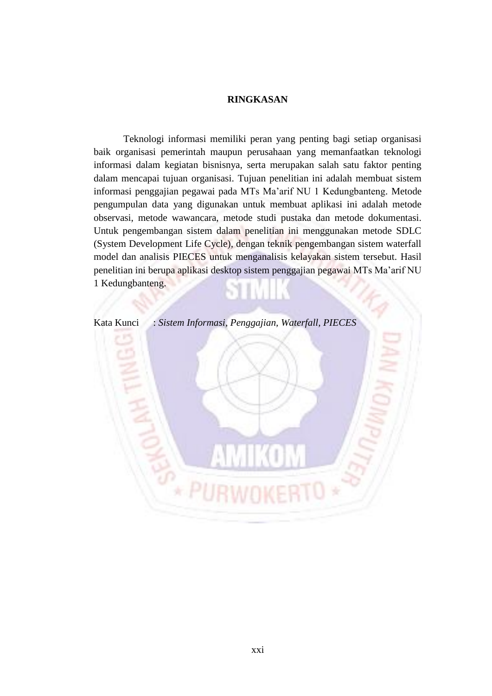## **RINGKASAN**

Teknologi informasi memiliki peran yang penting bagi setiap organisasi baik organisasi pemerintah maupun perusahaan yang memanfaatkan teknologi informasi dalam kegiatan bisnisnya, serta merupakan salah satu faktor penting dalam mencapai tujuan organisasi. Tujuan penelitian ini adalah membuat sistem informasi penggajian pegawai pada MTs Ma'arif NU 1 Kedungbanteng. Metode pengumpulan data yang digunakan untuk membuat aplikasi ini adalah metode observasi, metode wawancara, metode studi pustaka dan metode dokumentasi. Untuk pengembangan sistem dalam penelitian ini menggunakan metode SDLC (System Development Life Cycle), dengan teknik pengembangan sistem waterfall model dan analisis PIECES untuk menganalisis kelayakan sistem tersebut. Hasil penelitian ini berupa aplikasi desktop sistem penggajian pegawai MTs Ma'arif NU 1 Kedungbanteng.